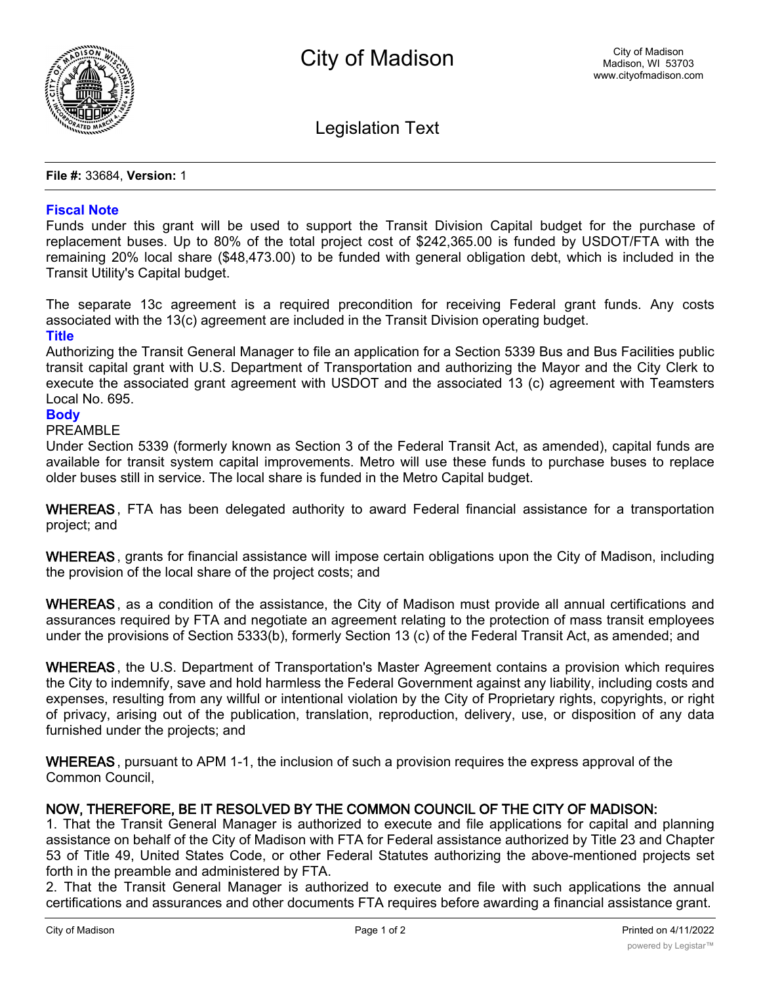

Legislation Text

**File #:** 33684, **Version:** 1

## **Fiscal Note**

Funds under this grant will be used to support the Transit Division Capital budget for the purchase of replacement buses. Up to 80% of the total project cost of \$242,365.00 is funded by USDOT/FTA with the remaining 20% local share (\$48,473.00) to be funded with general obligation debt, which is included in the Transit Utility's Capital budget.

The separate 13c agreement is a required precondition for receiving Federal grant funds. Any costs associated with the 13(c) agreement are included in the Transit Division operating budget.

## **Title**

Authorizing the Transit General Manager to file an application for a Section 5339 Bus and Bus Facilities public transit capital grant with U.S. Department of Transportation and authorizing the Mayor and the City Clerk to execute the associated grant agreement with USDOT and the associated 13 (c) agreement with Teamsters Local No. 695.

## **Body**

PREAMBLE

Under Section 5339 (formerly known as Section 3 of the Federal Transit Act, as amended), capital funds are available for transit system capital improvements. Metro will use these funds to purchase buses to replace older buses still in service. The local share is funded in the Metro Capital budget.

**WHEREAS**, FTA has been delegated authority to award Federal financial assistance for a transportation project; and

**WHEREAS**, grants for financial assistance will impose certain obligations upon the City of Madison, including the provision of the local share of the project costs; and

**WHEREAS**, as a condition of the assistance, the City of Madison must provide all annual certifications and assurances required by FTA and negotiate an agreement relating to the protection of mass transit employees under the provisions of Section 5333(b), formerly Section 13 (c) of the Federal Transit Act, as amended; and

**WHEREAS**, the U.S. Department of Transportation's Master Agreement contains a provision which requires the City to indemnify, save and hold harmless the Federal Government against any liability, including costs and expenses, resulting from any willful or intentional violation by the City of Proprietary rights, copyrights, or right of privacy, arising out of the publication, translation, reproduction, delivery, use, or disposition of any data furnished under the projects; and

**WHEREAS**, pursuant to APM 1-1, the inclusion of such a provision requires the express approval of the Common Council,

## **NOW, THEREFORE, BE IT RESOLVED BY THE COMMON COUNCIL OF THE CITY OF MADISON:**

1. That the Transit General Manager is authorized to execute and file applications for capital and planning assistance on behalf of the City of Madison with FTA for Federal assistance authorized by Title 23 and Chapter 53 of Title 49, United States Code, or other Federal Statutes authorizing the above-mentioned projects set forth in the preamble and administered by FTA.

2. That the Transit General Manager is authorized to execute and file with such applications the annual certifications and assurances and other documents FTA requires before awarding a financial assistance grant.